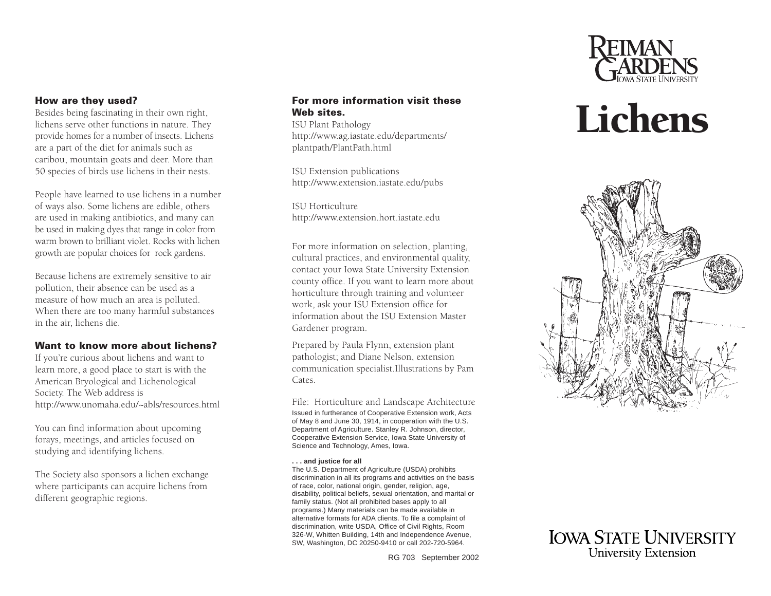

### **How are they used?**

Besides being fascinating in their own right, lichens serve other functions in nature. They provide homes for a number of insects. Lichens are a part of the diet for animals such as caribou, mountain goats and deer. More than 50 species of birds use lichens in their nests.

People have learned to use lichens in a number of ways also. Some lichens are edible, others are used in making antibiotics, and many can be used in making dyes that range in color from warm brown to brilliant violet. Rocks with lichengrowth are popular choices for rock gardens.

Because lichens are extremely sensitive to air pollution, their absence can be used as a measure of how much an area is polluted. When there are too many harmful substances in the air, lichens die.

### **Want to know more about lichens?**

If you're curious about lichens and want to learn more, a good place to start is with the American Bryological and Lichenological Society. The Web address is http://www.unomaha.edu/~abls/resources.html

You can find information about upcoming forays, meetings, and articles focused on studying and identifying lichens.

The Society also sponsors a lichen exchange where participants can acquire lichens from different geographic regions.

### **For more information visit theseWeb sites.**

ISU Plant Pathology http://www.ag.iastate.edu/departments/ plantpath/PlantPath.html

ISU Extension publications http://www.extension.iastate.edu/pubs

ISU Horticulturehttp://www.extension.hort.iastate.edu

For more information on selection, planting, cultural practices, and environmental quality, contact your Iowa State University Extension county office. If you want to learn more about horticulture through training and volunteer work, ask your ISU Extension office for information about the ISU Extension MasterGardener program.

Prepared by Paula Flynn, extension plant pathologist; and Diane Nelson, extension communication specialist.Illustrations by Pam Cates.

Issued in furtherance of Cooperative Extension work, Acts of May 8 and June 30, 1914, in cooperation with the U.S. Department of Agriculture. Stanley R. Johnson, director, Cooperative Extension Service, Iowa State University of Science and Technology, Ames, Iowa. File: Horticulture and Landscape Architecture

#### **. . . and justice for all**

The U.S. Department of Agriculture (USDA) prohibits discrimination in all its programs and activities on the basis of race, color, national origin, gender, religion, age, disability, political beliefs, sexual orientation, and marital or family status. (Not all prohibited bases apply to all programs.) Many materials can be made available in alternative formats for ADA clients. To file a complaint of discrimination, write USDA, Office of Civil Rights, Room 326-W, Whitten Building, 14th and Independence Avenue, SW, Washington, DC 20250-9410 or call 202-720-5964.

RG 703 September 2002

# Lichens



**IOWA STATE UNIVERSITY University Extension**